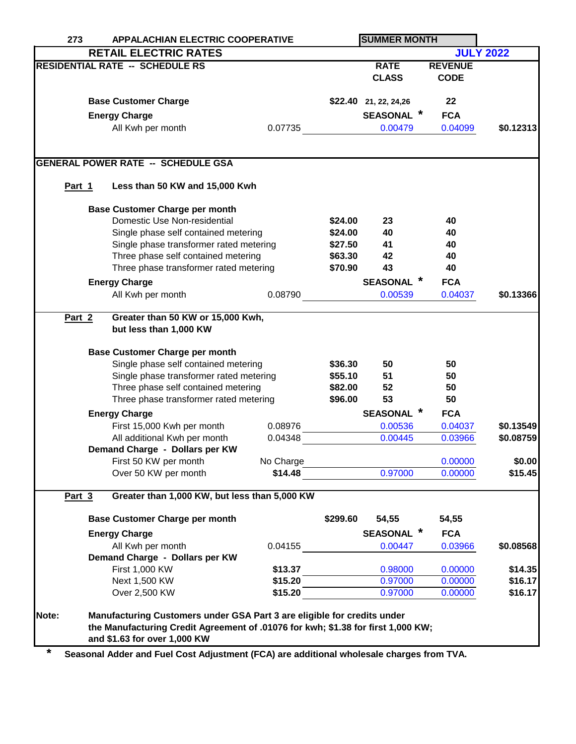| <b>APPALACHIAN ELECTRIC COOPERATIVE</b><br>273 |                                         |                                                                                                                                                                                                                                                                                                                                                                                                                                                                                                                                                                                                                                                                                                                                                          | <b>SUMMER MONTH</b>                                                                                                                                                                                                                                                                                                                                                                                                                                                                                                    |                 |                                                                                                                                                                                                                                                                                                                                                                                                    |                                                                                                                                                                                                                                                                                                     |
|------------------------------------------------|-----------------------------------------|----------------------------------------------------------------------------------------------------------------------------------------------------------------------------------------------------------------------------------------------------------------------------------------------------------------------------------------------------------------------------------------------------------------------------------------------------------------------------------------------------------------------------------------------------------------------------------------------------------------------------------------------------------------------------------------------------------------------------------------------------------|------------------------------------------------------------------------------------------------------------------------------------------------------------------------------------------------------------------------------------------------------------------------------------------------------------------------------------------------------------------------------------------------------------------------------------------------------------------------------------------------------------------------|-----------------|----------------------------------------------------------------------------------------------------------------------------------------------------------------------------------------------------------------------------------------------------------------------------------------------------------------------------------------------------------------------------------------------------|-----------------------------------------------------------------------------------------------------------------------------------------------------------------------------------------------------------------------------------------------------------------------------------------------------|
|                                                |                                         |                                                                                                                                                                                                                                                                                                                                                                                                                                                                                                                                                                                                                                                                                                                                                          |                                                                                                                                                                                                                                                                                                                                                                                                                                                                                                                        |                 |                                                                                                                                                                                                                                                                                                                                                                                                    | <b>JULY 2022</b>                                                                                                                                                                                                                                                                                    |
|                                                |                                         |                                                                                                                                                                                                                                                                                                                                                                                                                                                                                                                                                                                                                                                                                                                                                          |                                                                                                                                                                                                                                                                                                                                                                                                                                                                                                                        | <b>RATE</b>     | <b>REVENUE</b>                                                                                                                                                                                                                                                                                                                                                                                     |                                                                                                                                                                                                                                                                                                     |
|                                                |                                         |                                                                                                                                                                                                                                                                                                                                                                                                                                                                                                                                                                                                                                                                                                                                                          |                                                                                                                                                                                                                                                                                                                                                                                                                                                                                                                        | <b>CLASS</b>    | <b>CODE</b>                                                                                                                                                                                                                                                                                                                                                                                        |                                                                                                                                                                                                                                                                                                     |
|                                                |                                         |                                                                                                                                                                                                                                                                                                                                                                                                                                                                                                                                                                                                                                                                                                                                                          |                                                                                                                                                                                                                                                                                                                                                                                                                                                                                                                        |                 |                                                                                                                                                                                                                                                                                                                                                                                                    |                                                                                                                                                                                                                                                                                                     |
|                                                |                                         |                                                                                                                                                                                                                                                                                                                                                                                                                                                                                                                                                                                                                                                                                                                                                          |                                                                                                                                                                                                                                                                                                                                                                                                                                                                                                                        |                 | 22                                                                                                                                                                                                                                                                                                                                                                                                 |                                                                                                                                                                                                                                                                                                     |
|                                                |                                         |                                                                                                                                                                                                                                                                                                                                                                                                                                                                                                                                                                                                                                                                                                                                                          |                                                                                                                                                                                                                                                                                                                                                                                                                                                                                                                        |                 | <b>FCA</b>                                                                                                                                                                                                                                                                                                                                                                                         |                                                                                                                                                                                                                                                                                                     |
|                                                |                                         |                                                                                                                                                                                                                                                                                                                                                                                                                                                                                                                                                                                                                                                                                                                                                          |                                                                                                                                                                                                                                                                                                                                                                                                                                                                                                                        |                 |                                                                                                                                                                                                                                                                                                                                                                                                    | \$0.12313                                                                                                                                                                                                                                                                                           |
|                                                |                                         |                                                                                                                                                                                                                                                                                                                                                                                                                                                                                                                                                                                                                                                                                                                                                          |                                                                                                                                                                                                                                                                                                                                                                                                                                                                                                                        |                 |                                                                                                                                                                                                                                                                                                                                                                                                    |                                                                                                                                                                                                                                                                                                     |
|                                                |                                         |                                                                                                                                                                                                                                                                                                                                                                                                                                                                                                                                                                                                                                                                                                                                                          |                                                                                                                                                                                                                                                                                                                                                                                                                                                                                                                        |                 |                                                                                                                                                                                                                                                                                                                                                                                                    |                                                                                                                                                                                                                                                                                                     |
|                                                |                                         |                                                                                                                                                                                                                                                                                                                                                                                                                                                                                                                                                                                                                                                                                                                                                          |                                                                                                                                                                                                                                                                                                                                                                                                                                                                                                                        |                 |                                                                                                                                                                                                                                                                                                                                                                                                    |                                                                                                                                                                                                                                                                                                     |
|                                                |                                         |                                                                                                                                                                                                                                                                                                                                                                                                                                                                                                                                                                                                                                                                                                                                                          |                                                                                                                                                                                                                                                                                                                                                                                                                                                                                                                        |                 |                                                                                                                                                                                                                                                                                                                                                                                                    |                                                                                                                                                                                                                                                                                                     |
|                                                |                                         |                                                                                                                                                                                                                                                                                                                                                                                                                                                                                                                                                                                                                                                                                                                                                          |                                                                                                                                                                                                                                                                                                                                                                                                                                                                                                                        |                 |                                                                                                                                                                                                                                                                                                                                                                                                    |                                                                                                                                                                                                                                                                                                     |
|                                                |                                         |                                                                                                                                                                                                                                                                                                                                                                                                                                                                                                                                                                                                                                                                                                                                                          |                                                                                                                                                                                                                                                                                                                                                                                                                                                                                                                        |                 |                                                                                                                                                                                                                                                                                                                                                                                                    |                                                                                                                                                                                                                                                                                                     |
|                                                |                                         |                                                                                                                                                                                                                                                                                                                                                                                                                                                                                                                                                                                                                                                                                                                                                          |                                                                                                                                                                                                                                                                                                                                                                                                                                                                                                                        |                 |                                                                                                                                                                                                                                                                                                                                                                                                    |                                                                                                                                                                                                                                                                                                     |
|                                                | Single phase transformer rated metering |                                                                                                                                                                                                                                                                                                                                                                                                                                                                                                                                                                                                                                                                                                                                                          |                                                                                                                                                                                                                                                                                                                                                                                                                                                                                                                        |                 |                                                                                                                                                                                                                                                                                                                                                                                                    |                                                                                                                                                                                                                                                                                                     |
|                                                |                                         |                                                                                                                                                                                                                                                                                                                                                                                                                                                                                                                                                                                                                                                                                                                                                          |                                                                                                                                                                                                                                                                                                                                                                                                                                                                                                                        |                 |                                                                                                                                                                                                                                                                                                                                                                                                    |                                                                                                                                                                                                                                                                                                     |
|                                                |                                         |                                                                                                                                                                                                                                                                                                                                                                                                                                                                                                                                                                                                                                                                                                                                                          |                                                                                                                                                                                                                                                                                                                                                                                                                                                                                                                        |                 |                                                                                                                                                                                                                                                                                                                                                                                                    |                                                                                                                                                                                                                                                                                                     |
|                                                |                                         |                                                                                                                                                                                                                                                                                                                                                                                                                                                                                                                                                                                                                                                                                                                                                          |                                                                                                                                                                                                                                                                                                                                                                                                                                                                                                                        |                 |                                                                                                                                                                                                                                                                                                                                                                                                    |                                                                                                                                                                                                                                                                                                     |
|                                                |                                         |                                                                                                                                                                                                                                                                                                                                                                                                                                                                                                                                                                                                                                                                                                                                                          |                                                                                                                                                                                                                                                                                                                                                                                                                                                                                                                        | <b>SEASONAL</b> | <b>FCA</b>                                                                                                                                                                                                                                                                                                                                                                                         |                                                                                                                                                                                                                                                                                                     |
|                                                | All Kwh per month                       | 0.08790                                                                                                                                                                                                                                                                                                                                                                                                                                                                                                                                                                                                                                                                                                                                                  |                                                                                                                                                                                                                                                                                                                                                                                                                                                                                                                        | 0.00539         | 0.04037                                                                                                                                                                                                                                                                                                                                                                                            | \$0.13366                                                                                                                                                                                                                                                                                           |
|                                                |                                         |                                                                                                                                                                                                                                                                                                                                                                                                                                                                                                                                                                                                                                                                                                                                                          |                                                                                                                                                                                                                                                                                                                                                                                                                                                                                                                        |                 |                                                                                                                                                                                                                                                                                                                                                                                                    |                                                                                                                                                                                                                                                                                                     |
|                                                |                                         |                                                                                                                                                                                                                                                                                                                                                                                                                                                                                                                                                                                                                                                                                                                                                          |                                                                                                                                                                                                                                                                                                                                                                                                                                                                                                                        |                 |                                                                                                                                                                                                                                                                                                                                                                                                    |                                                                                                                                                                                                                                                                                                     |
|                                                |                                         |                                                                                                                                                                                                                                                                                                                                                                                                                                                                                                                                                                                                                                                                                                                                                          |                                                                                                                                                                                                                                                                                                                                                                                                                                                                                                                        |                 |                                                                                                                                                                                                                                                                                                                                                                                                    |                                                                                                                                                                                                                                                                                                     |
|                                                |                                         |                                                                                                                                                                                                                                                                                                                                                                                                                                                                                                                                                                                                                                                                                                                                                          |                                                                                                                                                                                                                                                                                                                                                                                                                                                                                                                        |                 |                                                                                                                                                                                                                                                                                                                                                                                                    |                                                                                                                                                                                                                                                                                                     |
|                                                |                                         |                                                                                                                                                                                                                                                                                                                                                                                                                                                                                                                                                                                                                                                                                                                                                          |                                                                                                                                                                                                                                                                                                                                                                                                                                                                                                                        |                 |                                                                                                                                                                                                                                                                                                                                                                                                    |                                                                                                                                                                                                                                                                                                     |
|                                                |                                         |                                                                                                                                                                                                                                                                                                                                                                                                                                                                                                                                                                                                                                                                                                                                                          |                                                                                                                                                                                                                                                                                                                                                                                                                                                                                                                        |                 |                                                                                                                                                                                                                                                                                                                                                                                                    |                                                                                                                                                                                                                                                                                                     |
|                                                |                                         |                                                                                                                                                                                                                                                                                                                                                                                                                                                                                                                                                                                                                                                                                                                                                          |                                                                                                                                                                                                                                                                                                                                                                                                                                                                                                                        |                 |                                                                                                                                                                                                                                                                                                                                                                                                    |                                                                                                                                                                                                                                                                                                     |
|                                                |                                         |                                                                                                                                                                                                                                                                                                                                                                                                                                                                                                                                                                                                                                                                                                                                                          |                                                                                                                                                                                                                                                                                                                                                                                                                                                                                                                        |                 |                                                                                                                                                                                                                                                                                                                                                                                                    |                                                                                                                                                                                                                                                                                                     |
|                                                |                                         |                                                                                                                                                                                                                                                                                                                                                                                                                                                                                                                                                                                                                                                                                                                                                          |                                                                                                                                                                                                                                                                                                                                                                                                                                                                                                                        |                 |                                                                                                                                                                                                                                                                                                                                                                                                    |                                                                                                                                                                                                                                                                                                     |
|                                                |                                         |                                                                                                                                                                                                                                                                                                                                                                                                                                                                                                                                                                                                                                                                                                                                                          |                                                                                                                                                                                                                                                                                                                                                                                                                                                                                                                        |                 |                                                                                                                                                                                                                                                                                                                                                                                                    | \$0.13549                                                                                                                                                                                                                                                                                           |
|                                                |                                         |                                                                                                                                                                                                                                                                                                                                                                                                                                                                                                                                                                                                                                                                                                                                                          |                                                                                                                                                                                                                                                                                                                                                                                                                                                                                                                        |                 |                                                                                                                                                                                                                                                                                                                                                                                                    | \$0.08759                                                                                                                                                                                                                                                                                           |
|                                                |                                         |                                                                                                                                                                                                                                                                                                                                                                                                                                                                                                                                                                                                                                                                                                                                                          |                                                                                                                                                                                                                                                                                                                                                                                                                                                                                                                        |                 |                                                                                                                                                                                                                                                                                                                                                                                                    |                                                                                                                                                                                                                                                                                                     |
|                                                |                                         |                                                                                                                                                                                                                                                                                                                                                                                                                                                                                                                                                                                                                                                                                                                                                          |                                                                                                                                                                                                                                                                                                                                                                                                                                                                                                                        |                 |                                                                                                                                                                                                                                                                                                                                                                                                    | \$0.00                                                                                                                                                                                                                                                                                              |
|                                                |                                         |                                                                                                                                                                                                                                                                                                                                                                                                                                                                                                                                                                                                                                                                                                                                                          |                                                                                                                                                                                                                                                                                                                                                                                                                                                                                                                        |                 |                                                                                                                                                                                                                                                                                                                                                                                                    | \$15.45                                                                                                                                                                                                                                                                                             |
|                                                |                                         |                                                                                                                                                                                                                                                                                                                                                                                                                                                                                                                                                                                                                                                                                                                                                          |                                                                                                                                                                                                                                                                                                                                                                                                                                                                                                                        |                 |                                                                                                                                                                                                                                                                                                                                                                                                    |                                                                                                                                                                                                                                                                                                     |
|                                                |                                         |                                                                                                                                                                                                                                                                                                                                                                                                                                                                                                                                                                                                                                                                                                                                                          |                                                                                                                                                                                                                                                                                                                                                                                                                                                                                                                        |                 |                                                                                                                                                                                                                                                                                                                                                                                                    |                                                                                                                                                                                                                                                                                                     |
|                                                |                                         |                                                                                                                                                                                                                                                                                                                                                                                                                                                                                                                                                                                                                                                                                                                                                          |                                                                                                                                                                                                                                                                                                                                                                                                                                                                                                                        |                 |                                                                                                                                                                                                                                                                                                                                                                                                    |                                                                                                                                                                                                                                                                                                     |
|                                                |                                         |                                                                                                                                                                                                                                                                                                                                                                                                                                                                                                                                                                                                                                                                                                                                                          |                                                                                                                                                                                                                                                                                                                                                                                                                                                                                                                        |                 |                                                                                                                                                                                                                                                                                                                                                                                                    |                                                                                                                                                                                                                                                                                                     |
|                                                |                                         |                                                                                                                                                                                                                                                                                                                                                                                                                                                                                                                                                                                                                                                                                                                                                          |                                                                                                                                                                                                                                                                                                                                                                                                                                                                                                                        |                 |                                                                                                                                                                                                                                                                                                                                                                                                    | \$0.08568                                                                                                                                                                                                                                                                                           |
|                                                |                                         |                                                                                                                                                                                                                                                                                                                                                                                                                                                                                                                                                                                                                                                                                                                                                          |                                                                                                                                                                                                                                                                                                                                                                                                                                                                                                                        |                 |                                                                                                                                                                                                                                                                                                                                                                                                    |                                                                                                                                                                                                                                                                                                     |
|                                                |                                         |                                                                                                                                                                                                                                                                                                                                                                                                                                                                                                                                                                                                                                                                                                                                                          |                                                                                                                                                                                                                                                                                                                                                                                                                                                                                                                        |                 |                                                                                                                                                                                                                                                                                                                                                                                                    | \$14.35                                                                                                                                                                                                                                                                                             |
|                                                |                                         |                                                                                                                                                                                                                                                                                                                                                                                                                                                                                                                                                                                                                                                                                                                                                          |                                                                                                                                                                                                                                                                                                                                                                                                                                                                                                                        |                 |                                                                                                                                                                                                                                                                                                                                                                                                    | \$16.17                                                                                                                                                                                                                                                                                             |
|                                                |                                         |                                                                                                                                                                                                                                                                                                                                                                                                                                                                                                                                                                                                                                                                                                                                                          |                                                                                                                                                                                                                                                                                                                                                                                                                                                                                                                        |                 |                                                                                                                                                                                                                                                                                                                                                                                                    | \$16.17                                                                                                                                                                                                                                                                                             |
|                                                |                                         |                                                                                                                                                                                                                                                                                                                                                                                                                                                                                                                                                                                                                                                                                                                                                          |                                                                                                                                                                                                                                                                                                                                                                                                                                                                                                                        |                 |                                                                                                                                                                                                                                                                                                                                                                                                    |                                                                                                                                                                                                                                                                                                     |
|                                                |                                         |                                                                                                                                                                                                                                                                                                                                                                                                                                                                                                                                                                                                                                                                                                                                                          |                                                                                                                                                                                                                                                                                                                                                                                                                                                                                                                        |                 |                                                                                                                                                                                                                                                                                                                                                                                                    |                                                                                                                                                                                                                                                                                                     |
|                                                |                                         |                                                                                                                                                                                                                                                                                                                                                                                                                                                                                                                                                                                                                                                                                                                                                          |                                                                                                                                                                                                                                                                                                                                                                                                                                                                                                                        |                 |                                                                                                                                                                                                                                                                                                                                                                                                    |                                                                                                                                                                                                                                                                                                     |
|                                                | Part 1<br>Part 2<br>Part 3              | <b>RETAIL ELECTRIC RATES</b><br><b>RESIDENTIAL RATE -- SCHEDULE RS</b><br><b>Base Customer Charge</b><br><b>Energy Charge</b><br>All Kwh per month<br><b>GENERAL POWER RATE -- SCHEDULE GSA</b><br><b>Base Customer Charge per month</b><br>Domestic Use Non-residential<br><b>Energy Charge</b><br>but less than 1,000 KW<br><b>Base Customer Charge per month</b><br><b>Energy Charge</b><br>First 15,000 Kwh per month<br>All additional Kwh per month<br>Demand Charge - Dollars per KW<br>First 50 KW per month<br>Over 50 KW per month<br><b>Base Customer Charge per month</b><br><b>Energy Charge</b><br>All Kwh per month<br>Demand Charge - Dollars per KW<br>First 1,000 KW<br>Next 1,500 KW<br>Over 2,500 KW<br>and \$1.63 for over 1,000 KW | 0.07735<br>Less than 50 KW and 15,000 Kwh<br>Single phase self contained metering<br>Three phase self contained metering<br>Three phase transformer rated metering<br>Greater than 50 KW or 15,000 Kwh,<br>Single phase self contained metering<br>Single phase transformer rated metering<br>Three phase self contained metering<br>Three phase transformer rated metering<br>0.08976<br>0.04348<br>No Charge<br>\$14.48<br>Greater than 1,000 KW, but less than 5,000 KW<br>0.04155<br>\$13.37<br>\$15.20<br>\$15.20 | \$299.60        | $$22.40$ 21, 22, 24, 26<br>0.00479<br>\$24.00<br>23<br>\$24.00<br>40<br>\$27.50<br>41<br>\$63.30<br>42<br>43<br>\$70.90<br>\$36.30<br>50<br>\$55.10<br>51<br>\$82.00<br>52<br>53<br>\$96.00<br><b>SEASONAL</b><br>0.00536<br>0.00445<br>0.97000<br>54,55<br><b>SEASONAL</b><br>0.00447<br>0.98000<br>0.97000<br>0.97000<br>Manufacturing Customers under GSA Part 3 are eligible for credits under | <b>SEASONAL</b> *<br>0.04099<br>40<br>40<br>40<br>40<br>40<br>50<br>50<br>50<br>50<br><b>FCA</b><br>0.04037<br>0.03966<br>0.00000<br>0.00000<br>54,55<br><b>FCA</b><br>0.03966<br>0.00000<br>0.00000<br>0.00000<br>the Manufacturing Credit Agreement of .01076 for kwh; \$1.38 for first 1,000 KW; |

**\* Seasonal Adder and Fuel Cost Adjustment (FCA) are additional wholesale charges from TVA.**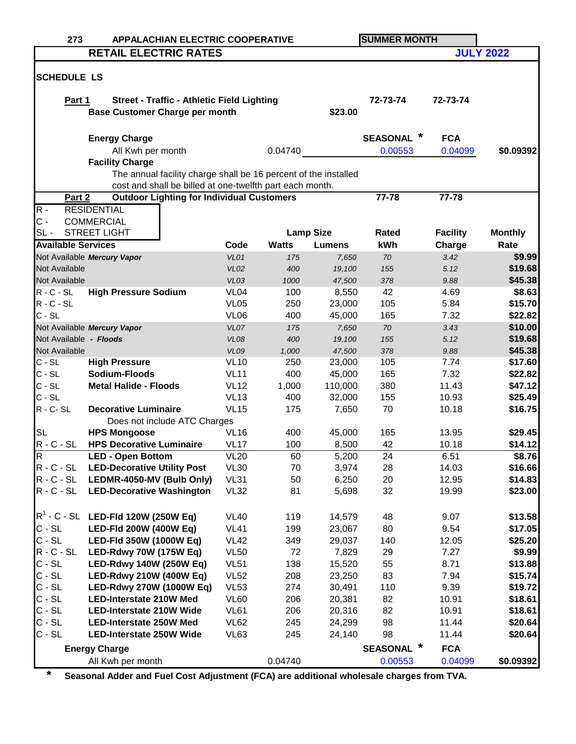| 273                       |                                                                 | <b>APPALACHIAN ELECTRIC COOPERATIVE</b> |              |                  | <b>SUMMER MONTH</b>       |                 |                    |
|---------------------------|-----------------------------------------------------------------|-----------------------------------------|--------------|------------------|---------------------------|-----------------|--------------------|
|                           | <b>RETAIL ELECTRIC RATES</b>                                    |                                         |              |                  |                           |                 | <b>JULY 2022</b>   |
|                           |                                                                 |                                         |              |                  |                           |                 |                    |
| <b>SCHEDULE LS</b>        |                                                                 |                                         |              |                  |                           |                 |                    |
|                           |                                                                 |                                         |              |                  |                           |                 |                    |
| Part 1                    | <b>Street - Traffic - Athletic Field Lighting</b>               |                                         |              |                  | 72-73-74                  | 72-73-74        |                    |
|                           | <b>Base Customer Charge per month</b>                           |                                         |              | \$23.00          |                           |                 |                    |
|                           |                                                                 |                                         |              |                  |                           |                 |                    |
|                           | <b>Energy Charge</b>                                            |                                         |              |                  | <b>SEASONAL</b>           | <b>FCA</b>      |                    |
|                           | All Kwh per month                                               |                                         | 0.04740      |                  | 0.00553                   | 0.04099         | \$0.09392          |
|                           | <b>Facility Charge</b>                                          |                                         |              |                  |                           |                 |                    |
|                           | The annual facility charge shall be 16 percent of the installed |                                         |              |                  |                           |                 |                    |
|                           | cost and shall be billed at one-twelfth part each month.        |                                         |              |                  |                           |                 |                    |
| Part 2                    | <b>Outdoor Lighting for Individual Customers</b>                |                                         |              |                  | 77-78                     | 77-78           |                    |
| $R -$                     | <b>RESIDENTIAL</b>                                              |                                         |              |                  |                           |                 |                    |
| $C -$                     | <b>COMMERCIAL</b>                                               |                                         |              |                  |                           |                 |                    |
| $SL -$                    | <b>STREET LIGHT</b>                                             |                                         |              | <b>Lamp Size</b> | Rated                     | <b>Facility</b> | <b>Monthly</b>     |
| <b>Available Services</b> |                                                                 | Code                                    | <b>Watts</b> | <b>Lumens</b>    | kWh                       | Charge          | Rate               |
|                           | Not Available Mercury Vapor                                     | VL01                                    | 175          | 7,650            | 70                        | 3.42            | \$9.99             |
| Not Available             |                                                                 | <b>VL02</b>                             | 400          | 19,100           | 155                       | 5.12            | \$19.68            |
| Not Available             |                                                                 | VL03                                    | 1000         | 47,500           | 378                       | 9.88            | \$45.38            |
| $R - C - SL$              | <b>High Pressure Sodium</b>                                     | VL <sub>04</sub>                        | 100          | 8,550            | 42                        | 4.69            | \$8.63             |
| $R - C - SL$<br>$C - SL$  |                                                                 | <b>VL05</b>                             | 250          | 23,000           | 105                       | 5.84            | \$15.70            |
|                           |                                                                 | VL <sub>06</sub>                        | 400          | 45,000           | 165                       | 7.32            | \$22.82            |
| Not Available - Floods    | Not Available Mercury Vapor                                     | VL07                                    | 175          | 7,650            | 70                        | 3.43            | \$10.00<br>\$19.68 |
| Not Available             |                                                                 | <b>VL08</b><br><b>VL09</b>              | 400<br>1,000 | 19,100<br>47,500 | 155<br>378                | 5.12<br>9.88    | \$45.38            |
| $C - SL$                  | <b>High Pressure</b>                                            | <b>VL10</b>                             | 250          | 23,000           | 105                       | 7.74            | \$17.60            |
| $C - SL$                  | Sodium-Floods                                                   | <b>VL11</b>                             | 400          | 45,000           | 165                       | 7.32            | \$22.82            |
| $C - SL$                  | <b>Metal Halide - Floods</b>                                    | <b>VL12</b>                             | 1,000        | 110,000          | 380                       | 11.43           | \$47.12            |
| $C - SL$                  |                                                                 | <b>VL13</b>                             | 400          | 32,000           | 155                       | 10.93           | \$25.49            |
| $R - C - SL$              | <b>Decorative Luminaire</b>                                     | <b>VL15</b>                             | 175          | 7,650            | 70                        | 10.18           | \$16.75            |
|                           | Does not include ATC Charges                                    |                                         |              |                  |                           |                 |                    |
| <b>SL</b>                 | <b>HPS Mongoose</b>                                             | <b>VL16</b>                             | 400          | 45,000           | 165                       | 13.95           | \$29.45            |
| $R - C - SL$              | <b>HPS Decorative Luminaire</b>                                 | <b>VL17</b>                             | 100          | 8,500            | 42                        | 10.18           | \$14.12            |
| R                         | <b>LED - Open Bottom</b>                                        | VL20                                    | 60           | 5,200            | 24                        | 6.51            | <b>\$8.76</b>      |
| $R - C - SL$              | <b>LED-Decorative Utility Post</b>                              | <b>VL30</b>                             | 70           | 3,974            | 28                        | 14.03           | \$16.66            |
| $R - C - SL$              | LEDMR-4050-MV (Bulb Only)                                       | <b>VL31</b>                             | 50           | 6,250            | 20                        | 12.95           | \$14.83            |
| $R - C - SL$              | <b>LED-Decorative Washington</b>                                | <b>VL32</b>                             | 81           | 5,698            | 32                        | 19.99           | \$23.00            |
|                           |                                                                 |                                         |              |                  |                           |                 |                    |
|                           | $R^1$ - C - SL LED-FId 120W (250W Eq)                           | <b>VL40</b>                             | 119          | 14,579           | 48                        | 9.07            | \$13.58            |
| $C - SL$                  | LED-Fld 200W (400W Eq)                                          | <b>VL41</b>                             | 199          | 23,067           | 80                        | 9.54            | \$17.05            |
| $C - SL$                  | LED-Fld 350W (1000W Eq)                                         | <b>VL42</b>                             | 349          | 29,037           | 140                       | 12.05           | \$25.20            |
| $R - C - SL$              | LED-Rdwy 70W (175W Eq)                                          | <b>VL50</b>                             | 72           | 7,829            | 29                        | 7.27            | \$9.99             |
| $C - SL$                  | LED-Rdwy 140W (250W Eq)                                         | <b>VL51</b>                             | 138          | 15,520           | 55                        | 8.71            | \$13.88            |
| $C - SL$                  | <b>LED-Rdwy 210W (400W Eq)</b>                                  | <b>VL52</b>                             | 208          | 23,250           | 83                        | 7.94            | \$15.74            |
| $C - SL$                  | LED-Rdwy 270W (1000W Eq)                                        | <b>VL53</b>                             | 274          | 30,491           | 110                       | 9.39            | \$19.72            |
| $C - SL$                  | <b>LED-Interstate 210W Med</b>                                  | <b>VL60</b>                             | 206          | 20,381           | 82                        | 10.91           | \$18.61            |
| $C - SL$                  | <b>LED-Interstate 210W Wide</b>                                 | <b>VL61</b>                             | 206          | 20,316           | 82                        | 10.91           | \$18.61            |
| $C - SL$                  | <b>LED-Interstate 250W Med</b>                                  | <b>VL62</b>                             | 245          | 24,299           | 98                        | 11.44           | \$20.64            |
| $C - SL$                  | <b>LED-Interstate 250W Wide</b>                                 | VL63                                    | 245          | 24,140           | 98                        | 11.44           | \$20.64            |
|                           | <b>Energy Charge</b>                                            |                                         |              |                  | $\ast$<br><b>SEASONAL</b> | <b>FCA</b>      |                    |
|                           | All Kwh per month                                               |                                         | 0.04740      |                  | 0.00553                   | 0.04099         | \$0.09392          |

**\* Seasonal Adder and Fuel Cost Adjustment (FCA) are additional wholesale charges from TVA.**